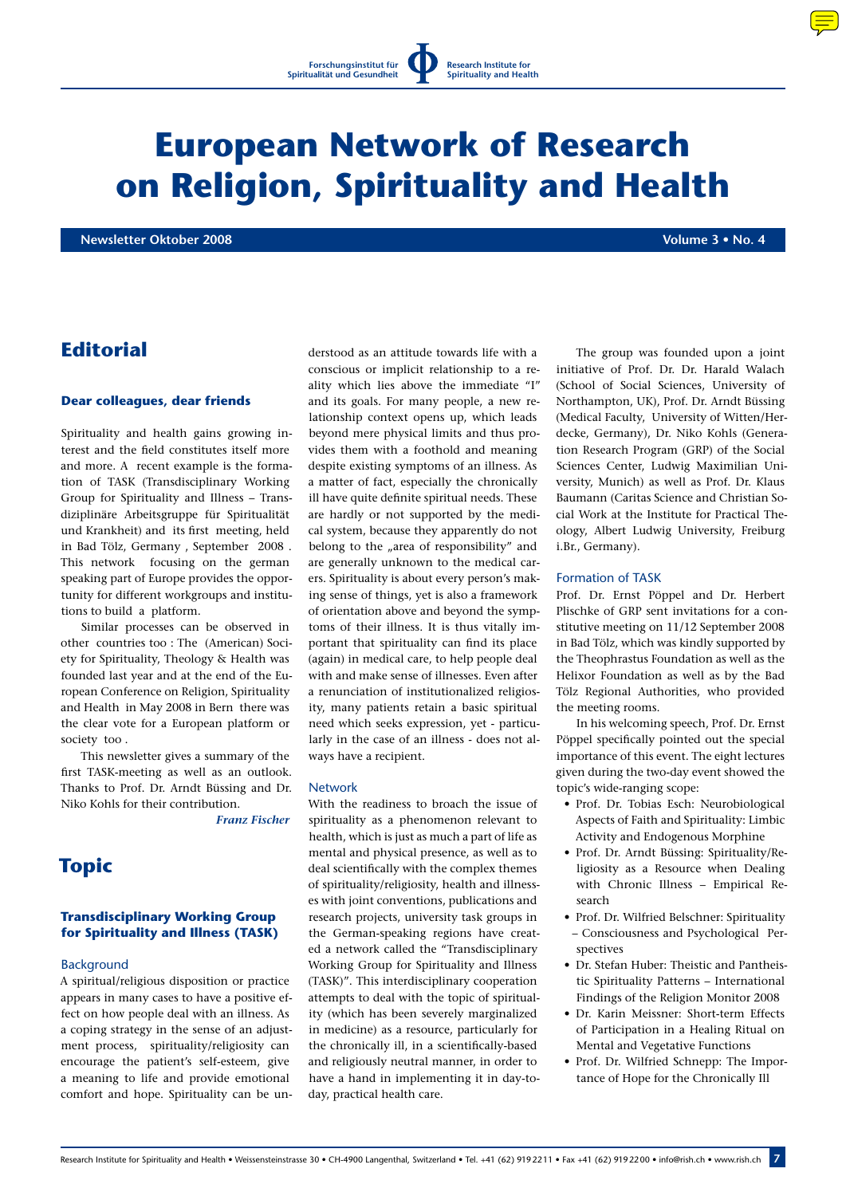# **European Network of Research on Religion, Spirituality and Health**

**Newsletter Oktober 2008 Volume 3 • No. 4** 

## **Editorial**

## **Dear colleagues, dear friends**

Spirituality and health gains growing interest and the field constitutes itself more and more. A recent example is the formation of TASK (Transdisciplinary Working Group for Spirituality and Illness – Transdiziplinäre Arbeitsgruppe für Spiritualität und Krankheit) and its first meeting, held in Bad Tölz, Germany , September 2008 . This network focusing on the german speaking part of Europe provides the opportunity for different workgroups and institutions to build a platform.

Similar processes can be observed in other countries too : The (American) Society for Spirituality, Theology & Health was founded last year and at the end of the European Conference on Religion, Spirituality and Health in May 2008 in Bern there was the clear vote for a European platform or society too .

This newsletter gives a summary of the first TASK-meeting as well as an outlook. Thanks to Prof. Dr. Arndt Büssing and Dr. Niko Kohls for their contribution.

*Franz Fischer*

# **Topic**

## **Transdisciplinary Working Group for Spirituality and Illness (TASK)**

## **Background**

A spiritual/religious disposition or practice appears in many cases to have a positive effect on how people deal with an illness. As a coping strategy in the sense of an adjustment process, spirituality/religiosity can encourage the patient's self-esteem, give a meaning to life and provide emotional comfort and hope. Spirituality can be understood as an attitude towards life with a conscious or implicit relationship to a reality which lies above the immediate "I" and its goals. For many people, a new relationship context opens up, which leads beyond mere physical limits and thus provides them with a foothold and meaning despite existing symptoms of an illness. As a matter of fact, especially the chronically ill have quite definite spiritual needs. These are hardly or not supported by the medical system, because they apparently do not belong to the "area of responsibility" and are generally unknown to the medical carers. Spirituality is about every person's making sense of things, yet is also a framework of orientation above and beyond the symptoms of their illness. It is thus vitally important that spirituality can find its place (again) in medical care, to help people deal with and make sense of illnesses. Even after a renunciation of institutionalized religiosity, many patients retain a basic spiritual need which seeks expression, yet - particularly in the case of an illness - does not always have a recipient.

### Network

With the readiness to broach the issue of spirituality as a phenomenon relevant to health, which is just as much a part of life as mental and physical presence, as well as to deal scientifically with the complex themes of spirituality/religiosity, health and illnesses with joint conventions, publications and research projects, university task groups in the German-speaking regions have created a network called the "Transdisciplinary Working Group for Spirituality and Illness (TASK)". This interdisciplinary cooperation attempts to deal with the topic of spirituality (which has been severely marginalized in medicine) as a resource, particularly for the chronically ill, in a scientifically-based and religiously neutral manner, in order to have a hand in implementing it in day-today, practical health care.

The group was founded upon a joint initiative of Prof. Dr. Dr. Harald Walach (School of Social Sciences, University of Northampton, UK), Prof. Dr. Arndt Büssing (Medical Faculty, University of Witten/Herdecke, Germany), Dr. Niko Kohls (Generation Research Program (GRP) of the Social Sciences Center, Ludwig Maximilian University, Munich) as well as Prof. Dr. Klaus Baumann (Caritas Science and Christian Social Work at the Institute for Practical Theology, Albert Ludwig University, Freiburg i.Br., Germany).

#### Formation of TASK

Prof. Dr. Ernst Pöppel and Dr. Herbert Plischke of GRP sent invitations for a constitutive meeting on 11/12 September 2008 in Bad Tölz, which was kindly supported by the Theophrastus Foundation as well as the Helixor Foundation as well as by the Bad Tölz Regional Authorities, who provided the meeting rooms.

In his welcoming speech, Prof. Dr. Ernst Pöppel specifically pointed out the special importance of this event. The eight lectures given during the two-day event showed the topic's wide-ranging scope:

- Prof. Dr. Tobias Esch: Neurobiological Aspects of Faith and Spirituality: Limbic Activity and Endogenous Morphine
- Prof. Dr. Arndt Büssing: Spirituality/Religiosity as a Resource when Dealing with Chronic Illness – Empirical Research
- Prof. Dr. Wilfried Belschner: Spirituality – Consciousness and Psychological Perspectives
- Dr. Stefan Huber: Theistic and Pantheistic Spirituality Patterns – International Findings of the Religion Monitor 2008
- Dr. Karin Meissner: Short-term Effects of Participation in a Healing Ritual on Mental and Vegetative Functions
- Prof. Dr. Wilfried Schnepp: The Importance of Hope for the Chronically Ill